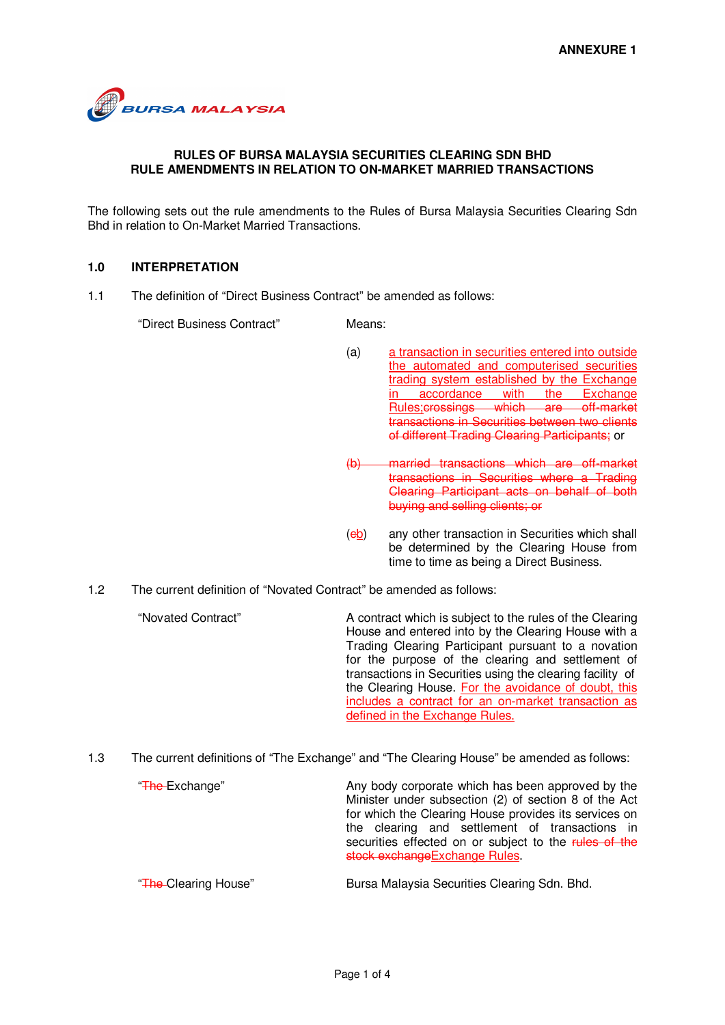

## **RULES OF BURSA MALAYSIA SECURITIES CLEARING SDN BHD RULE AMENDMENTS IN RELATION TO ON-MARKET MARRIED TRANSACTIONS**

The following sets out the rule amendments to the Rules of Bursa Malaysia Securities Clearing Sdn Bhd in relation to On-Market Married Transactions.

## **1.0 INTERPRETATION**

1.1 The definition of "Direct Business Contract" be amended as follows:

"Direct Business Contract" Means:

- (a) a transaction in securities entered into outside the automated and computerised securities trading system established by the Exchange in accordance with the Exchange Rules;crossings which are off-market transactions in Securities between two clients of different Trading Clearing Participants; or
- (b) married transactions which are off-market transactions in Securities where a Trading Clearing Participant acts on behalf of both buying and selling clients; or
- (eb) any other transaction in Securities which shall be determined by the Clearing House from time to time as being a Direct Business.
- 1.2 The current definition of "Novated Contract" be amended as follows:

"Novated Contract" A contract which is subject to the rules of the Clearing House and entered into by the Clearing House with a Trading Clearing Participant pursuant to a novation for the purpose of the clearing and settlement of transactions in Securities using the clearing facility of the Clearing House. For the avoidance of doubt, this includes a contract for an on-market transaction as defined in the Exchange Rules.

1.3 The current definitions of "The Exchange" and "The Clearing House" be amended as follows:

**The Exchange"** Any body corporate which has been approved by the Minister under subsection (2) of section 8 of the Act for which the Clearing House provides its services on the clearing and settlement of transactions in securities effected on or subject to the rules of the stock exchangeExchange Rules.

"The Clearing House" Bursa Malaysia Securities Clearing Sdn. Bhd.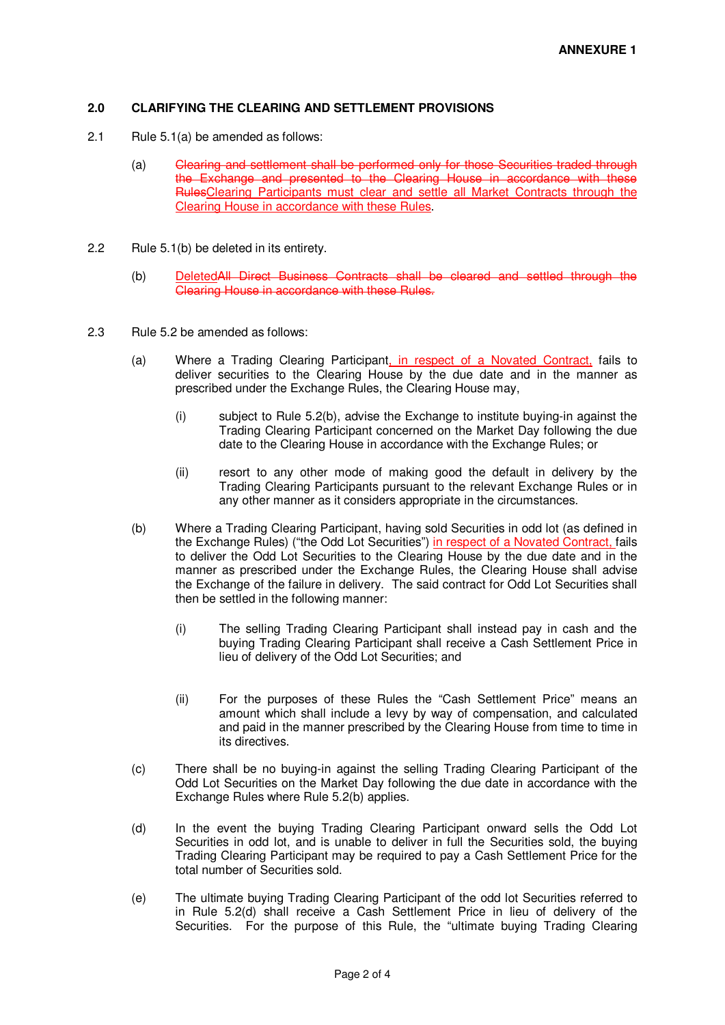## **2.0 CLARIFYING THE CLEARING AND SETTLEMENT PROVISIONS**

- 2.1 Rule 5.1(a) be amended as follows:
	- (a) Clearing and settlement shall be performed only for those Securities traded through the Exchange and presented to the Clearing House in accordance with these RulesClearing Participants must clear and settle all Market Contracts through the Clearing House in accordance with these Rules.
- 2.2 Rule 5.1(b) be deleted in its entirety.
	- (b) DeletedAll Direct Business Contracts shall be cleared and settled through the Clearing House in accordance with these Rules.
- 2.3 Rule 5.2 be amended as follows:
	- (a) Where a Trading Clearing Participant, in respect of a Novated Contract, fails to deliver securities to the Clearing House by the due date and in the manner as prescribed under the Exchange Rules, the Clearing House may,
		- (i) subject to Rule 5.2(b), advise the Exchange to institute buying-in against the Trading Clearing Participant concerned on the Market Day following the due date to the Clearing House in accordance with the Exchange Rules; or
		- (ii) resort to any other mode of making good the default in delivery by the Trading Clearing Participants pursuant to the relevant Exchange Rules or in any other manner as it considers appropriate in the circumstances.
	- (b) Where a Trading Clearing Participant, having sold Securities in odd lot (as defined in the Exchange Rules) ("the Odd Lot Securities") in respect of a Novated Contract, fails to deliver the Odd Lot Securities to the Clearing House by the due date and in the manner as prescribed under the Exchange Rules, the Clearing House shall advise the Exchange of the failure in delivery. The said contract for Odd Lot Securities shall then be settled in the following manner:
		- (i) The selling Trading Clearing Participant shall instead pay in cash and the buying Trading Clearing Participant shall receive a Cash Settlement Price in lieu of delivery of the Odd Lot Securities; and
		- (ii) For the purposes of these Rules the "Cash Settlement Price" means an amount which shall include a levy by way of compensation, and calculated and paid in the manner prescribed by the Clearing House from time to time in its directives.
	- (c) There shall be no buying-in against the selling Trading Clearing Participant of the Odd Lot Securities on the Market Day following the due date in accordance with the Exchange Rules where Rule 5.2(b) applies.
	- (d) In the event the buying Trading Clearing Participant onward sells the Odd Lot Securities in odd lot, and is unable to deliver in full the Securities sold, the buying Trading Clearing Participant may be required to pay a Cash Settlement Price for the total number of Securities sold.
	- (e) The ultimate buying Trading Clearing Participant of the odd lot Securities referred to in Rule 5.2(d) shall receive a Cash Settlement Price in lieu of delivery of the Securities. For the purpose of this Rule, the "ultimate buying Trading Clearing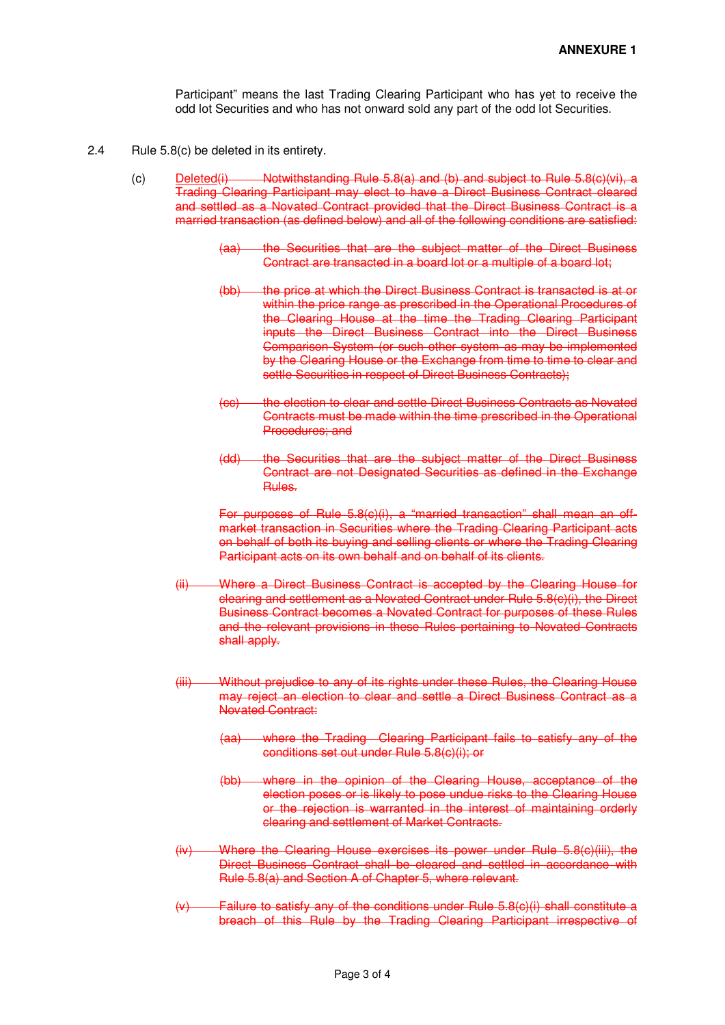Participant" means the last Trading Clearing Participant who has yet to receive the odd lot Securities and who has not onward sold any part of the odd lot Securities.

- 2.4 Rule 5.8(c) be deleted in its entirety.
	- (c) Deleted(i) Notwithstanding Rule 5.8(a) and (b) and subject to Rule 5.8(c)(vi), a Trading Clearing Participant may elect to have a Direct Business Contract cleared and settled as a Novated Contract provided that the Direct Business Contract is a married transaction (as defined below) and all of the following conditions are satisfied:
		- (aa) the Securities that are the subject matter of the Direct Business Contract are transacted in a board lot or a multiple of a board lot:
		- (bb) the price at which the Direct Business Contract is transacted is at or within the price range as prescribed in the Operational Procedures of the Clearing House at the time the Trading Clearing Participant inputs the Direct Business Contract into the Direct Business Comparison System (or such other system as may be implemented by the Clearing House or the Exchange from time to time to clear and settle Securities in respect of Direct Business Contracts);
		- (cc) the election to clear and settle Direct Business Contracts as Novated Contracts must be made within the time prescribed in the Operational Procedures; and
		- (dd) the Securities that are the subject matter of the Direct Business Contract are not Designated Securities as defined in the Exchange Rules.

For purposes of Rule 5.8(c)(i), a "married transaction" shall mean an offmarket transaction in Securities where the Trading Clearing Participant acts on behalf of both its buying and selling clients or where the Trading Clearing Participant acts on its own behalf and on behalf of its clients.

- (ii) Where a Direct Business Contract is accepted by the Clearing House for clearing and settlement as a Novated Contract under Rule 5.8(c)(i), the Direct Business Contract becomes a Novated Contract for purposes of these Rules and the relevant provisions in these Rules pertaining to Novated Contracts shall apply.
- (iii) Without prejudice to any of its rights under these Rules, the Clearing House may reject an election to clear and settle a Direct Business Contract as a Novated Contract:
	- (aa) where the Trading Clearing Participant fails to satisfy any of the conditions set out under Rule 5.8(c)(i); or
	- (bb) where in the opinion of the Clearing House, acceptance of the election poses or is likely to pose undue risks to the Clearing House or the rejection is warranted in the interest of maintaining orderly clearing and settlement of Market Contracts.
- (iv) Where the Clearing House exercises its power under Rule 5.8(c)(iii), the Direct Business Contract shall be cleared and settled in accordance with Rule 5.8(a) and Section A of Chapter 5, where relevant.
- $(v)$  Failure to satisfy any of the conditions under Rule 5.8(c)(i) shall constitute a breach of this Rule by the Trading Clearing Participant irrespective of